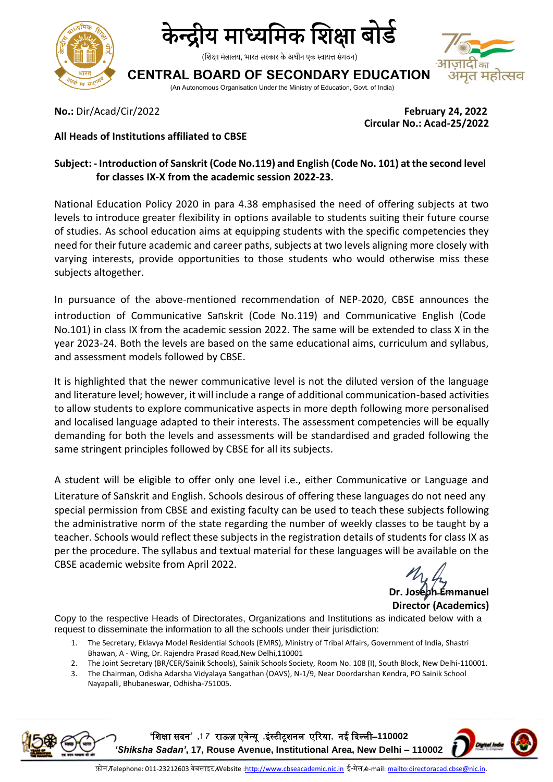



(शिक्षा मंत्रालय, भारत सरकार के अधीन एक स्वायत्त संगठन)

## <u> त</u> महोत्सव

**CENTRAL BOARD OF SECONDARY EDUCATION** (An Autonomous Organisation Under the Ministry of Education, Govt. of India)

**No.:** Dir/Acad/Cir/2022 **February 24, 2022 Circular No.: Acad-25/2022**

## **All Heads of Institutions affiliated to CBSE**

## **Subject: - Introduction of Sanskrit (Code No.119) and English (Code No. 101) at the second level for classes IX-X from the academic session 2022-23.**

National Education Policy 2020 in para 4.38 emphasised the need of offering subjects at two levels to introduce greater flexibility in options available to students suiting their future course of studies. As school education aims at equipping students with the specific competencies they need for their future academic and career paths, subjects at two levels aligning more closely with varying interests, provide opportunities to those students who would otherwise miss these subjects altogether.

In pursuance of the above-mentioned recommendation of NEP-2020, CBSE announces the introduction of Communicative Sanskrit (Code No.119) and Communicative English (Code No.101) in class IX from the academic session 2022. The same will be extended to class X in the year 2023-24. Both the levels are based on the same educational aims, curriculum and syllabus, and assessment models followed by CBSE.

It is highlighted that the newer communicative level is not the diluted version of the language and literature level; however, it will include a range of additional communication-based activities to allow students to explore communicative aspects in more depth following more personalised and localised language adapted to their interests. The assessment competencies will be equally demanding for both the levels and assessments will be standardised and graded following the same stringent principles followed by CBSE for all its subjects.

A student will be eligible to offer only one level i.e., either Communicative or Language and Literature of Sanskrit and English. Schools desirous of offering these languages do not need any special permission from CBSE and existing faculty can be used to teach these subjects following the administrative norm of the state regarding the number of weekly classes to be taught by a teacher. Schools would reflect these subjects in the registration details of students for class IX as per the procedure. The syllabus and textual material for these languages will be available on the CBSE academic website from April 2022.

**Dr. Joseph Emmanuel Director (Academics)**

Copy to the respective Heads of Directorates, Organizations and Institutions as indicated below with a request to disseminate the information to all the schools under their jurisdiction:

- 1. The Secretary, Eklavya Model Residential Schools (EMRS), Ministry of Tribal Affairs, Government of India, Shastri Bhawan, A - Wing, Dr. Rajendra Prasad Road,New Delhi,110001
- 2. The Joint Secretary (BR/CER/Sainik Schools), Sainik Schools Society, Room No. 108 (I), South Block, New Delhi-110001.
- 3. The Chairman, Odisha Adarsha Vidyalaya Sangathan (OAVS), N-1/9, Near Doordarshan Kendra, PO Sainik School Nayapalli, Bhubaneswar, Odhisha-751005.

**'**शिक्षा सदन**' ,1 7** राऊज़ एवेन्यू **,**इंस्टीटूिनल एररया**,** नई ददल्ली–**110002**  *'Shiksha Sadan'***, 17, Rouse Avenue, Institutional Area, New Delhi – 110002**